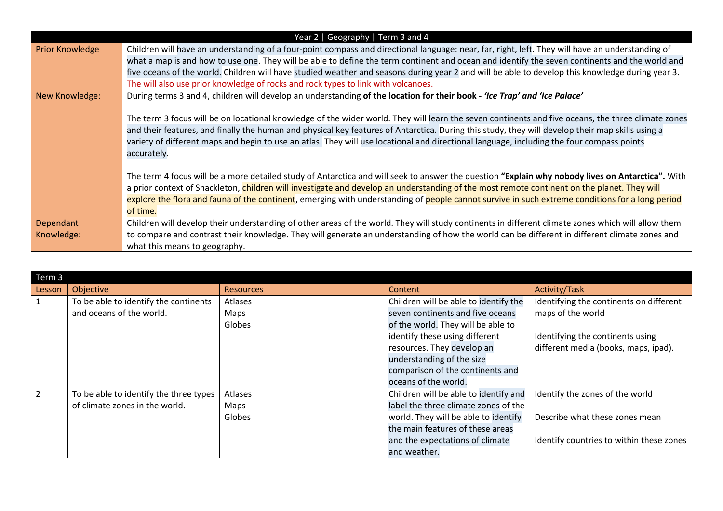| Year 2   Geography   Term 3 and 4 |                                                                                                                                                    |  |  |  |  |
|-----------------------------------|----------------------------------------------------------------------------------------------------------------------------------------------------|--|--|--|--|
| <b>Prior Knowledge</b>            | Children will have an understanding of a four-point compass and directional language: near, far, right, left. They will have an understanding of   |  |  |  |  |
|                                   | what a map is and how to use one. They will be able to define the term continent and ocean and identify the seven continents and the world and     |  |  |  |  |
|                                   | five oceans of the world. Children will have studied weather and seasons during year 2 and will be able to develop this knowledge during year 3.   |  |  |  |  |
|                                   | The will also use prior knowledge of rocks and rock types to link with volcanoes.                                                                  |  |  |  |  |
| New Knowledge:                    | During terms 3 and 4, children will develop an understanding of the location for their book - 'Ice Trap' and 'Ice Palace'                          |  |  |  |  |
|                                   |                                                                                                                                                    |  |  |  |  |
|                                   | The term 3 focus will be on locational knowledge of the wider world. They will learn the seven continents and five oceans, the three climate zones |  |  |  |  |
|                                   | and their features, and finally the human and physical key features of Antarctica. During this study, they will develop their map skills using a   |  |  |  |  |
|                                   | variety of different maps and begin to use an atlas. They will use locational and directional language, including the four compass points          |  |  |  |  |
|                                   | accurately.                                                                                                                                        |  |  |  |  |
|                                   |                                                                                                                                                    |  |  |  |  |
|                                   | The term 4 focus will be a more detailed study of Antarctica and will seek to answer the question "Explain why nobody lives on Antarctica". With   |  |  |  |  |
|                                   | a prior context of Shackleton, children will investigate and develop an understanding of the most remote continent on the planet. They will        |  |  |  |  |
|                                   | explore the flora and fauna of the continent, emerging with understanding of people cannot survive in such extreme conditions for a long period    |  |  |  |  |
|                                   | of time.                                                                                                                                           |  |  |  |  |
| Dependant                         | Children will develop their understanding of other areas of the world. They will study continents in different climate zones which will allow them |  |  |  |  |
| Knowledge:                        | to compare and contrast their knowledge. They will generate an understanding of how the world can be different in different climate zones and      |  |  |  |  |
|                                   | what this means to geography.                                                                                                                      |  |  |  |  |

| Term 3         |                                        |                  |                                       |                                          |  |  |  |
|----------------|----------------------------------------|------------------|---------------------------------------|------------------------------------------|--|--|--|
| Lesson         | Objective                              | <b>Resources</b> | Content                               | Activity/Task                            |  |  |  |
| 1              | To be able to identify the continents  | Atlases          | Children will be able to identify the | Identifying the continents on different  |  |  |  |
|                | and oceans of the world.               | Maps             | seven continents and five oceans      | maps of the world                        |  |  |  |
|                |                                        | Globes           | of the world. They will be able to    |                                          |  |  |  |
|                |                                        |                  | identify these using different        | Identifying the continents using         |  |  |  |
|                |                                        |                  | resources. They develop an            | different media (books, maps, ipad).     |  |  |  |
|                |                                        |                  | understanding of the size             |                                          |  |  |  |
|                |                                        |                  | comparison of the continents and      |                                          |  |  |  |
|                |                                        |                  | oceans of the world.                  |                                          |  |  |  |
| $\overline{2}$ | To be able to identify the three types | Atlases          | Children will be able to identify and | Identify the zones of the world          |  |  |  |
|                | of climate zones in the world.         | Maps             | label the three climate zones of the  |                                          |  |  |  |
|                |                                        | Globes           | world. They will be able to identify  | Describe what these zones mean           |  |  |  |
|                |                                        |                  | the main features of these areas      |                                          |  |  |  |
|                |                                        |                  | and the expectations of climate       | Identify countries to within these zones |  |  |  |
|                |                                        |                  | and weather.                          |                                          |  |  |  |